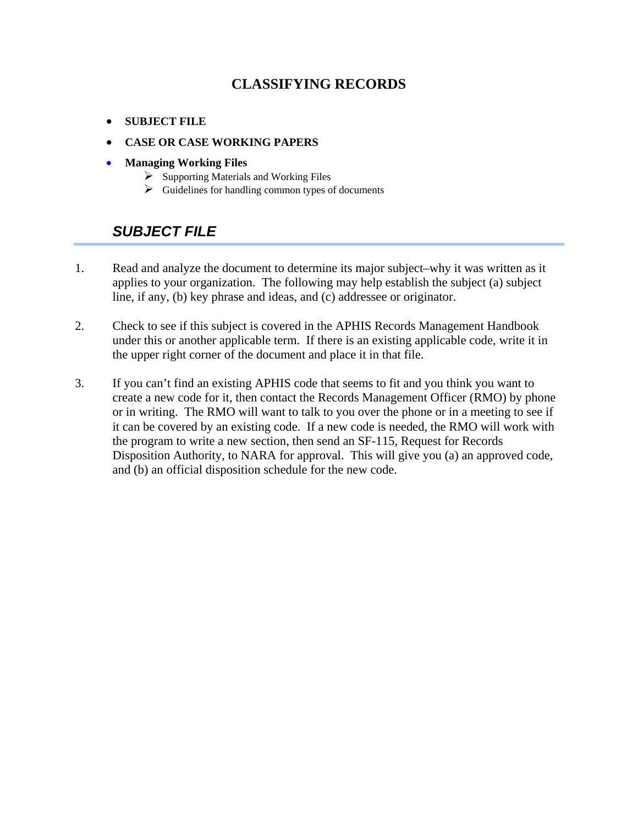#### **CLASSIFYING RECORDS**

- <span id="page-0-0"></span>• **[SUBJECT FILE](#page-0-0)**
- **[CASE OR CASE WORKING PAPERS](#page-1-0)**
- **[Managing Working Files](#page-2-0)**
	- $\triangleright$  [Supporting Materials and Working Files](#page-4-0)
	- $\triangleright$  [Guidelines for handling common types of documents](#page-5-0)

### *SUBJECT FILE*

- 1. Read and analyze the document to determine its major subject–why it was written as it applies to your organization. The following may help establish the subject (a) subject line, if any, (b) key phrase and ideas, and (c) addressee or originator.
- 2. Check to see if this subject is covered in the APHIS Records Management Handbook under this or another applicable term. If there is an existing applicable code, write it in the upper right corner of the document and place it in that file.
- 3. If you can't find an existing APHIS code that seems to fit and you think you want to create a new code for it, then contact the Records Management Officer (RMO) by phone or in writing. The RMO will want to talk to you over the phone or in a meeting to see if it can be covered by an existing code. If a new code is needed, the RMO will work with the program to write a new section, then send an SF-115, Request for Records Disposition Authority, to NARA for approval. This will give you (a) an approved code, and (b) an official disposition schedule for the new code.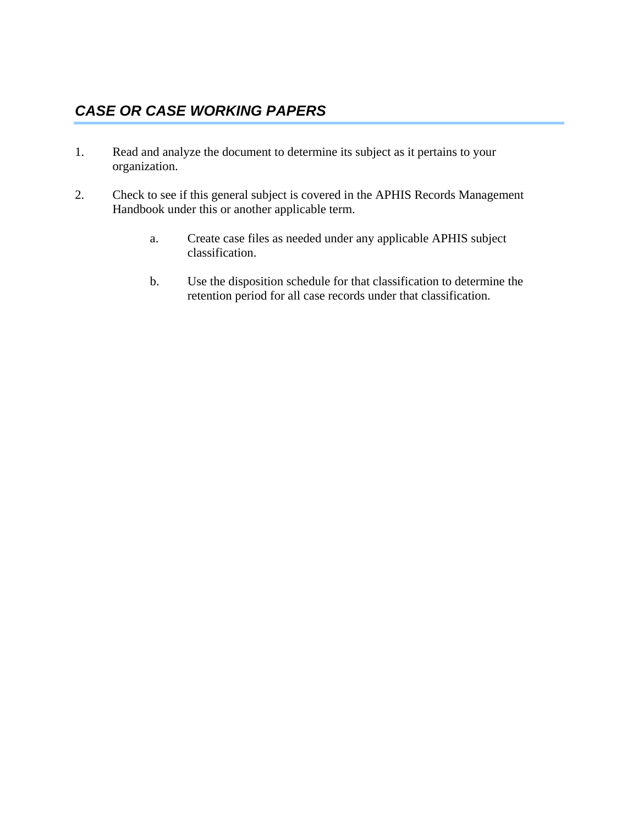### <span id="page-1-0"></span>*CASE OR CASE WORKING PAPERS*

- 1. Read and analyze the document to determine its subject as it pertains to your organization.
- 2. Check to see if this general subject is covered in the APHIS Records Management Handbook under this or another applicable term.
	- a. Create case files as needed under any applicable APHIS subject classification.
	- b. Use the disposition schedule for that classification to determine the retention period for all case records under that classification.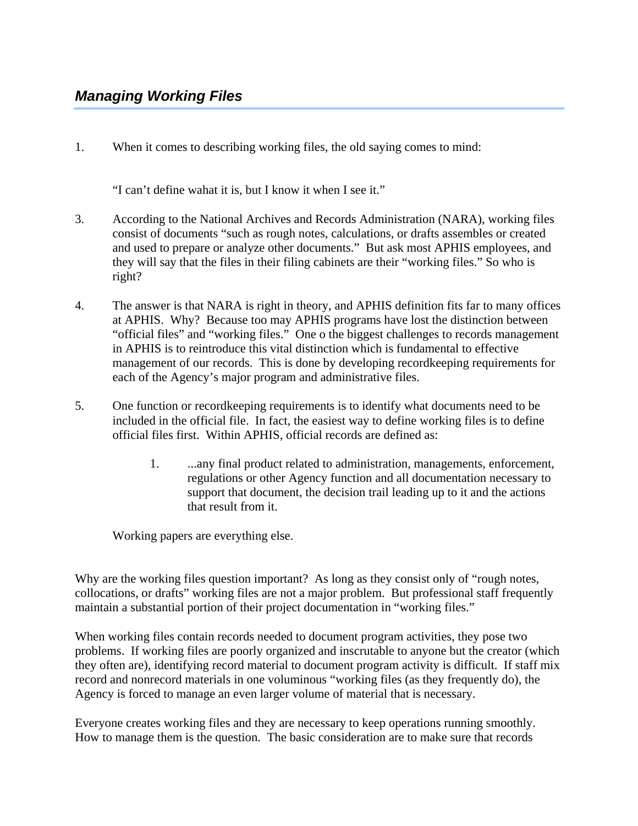<span id="page-2-0"></span>1. When it comes to describing working files, the old saying comes to mind:

"I can't define wahat it is, but I know it when I see it."

- 3. According to the National Archives and Records Administration (NARA), working files consist of documents "such as rough notes, calculations, or drafts assembles or created and used to prepare or analyze other documents." But ask most APHIS employees, and they will say that the files in their filing cabinets are their "working files." So who is right?
- 4. The answer is that NARA is right in theory, and APHIS definition fits far to many offices at APHIS. Why? Because too may APHIS programs have lost the distinction between "official files" and "working files." One o the biggest challenges to records management in APHIS is to reintroduce this vital distinction which is fundamental to effective management of our records. This is done by developing recordkeeping requirements for each of the Agency's major program and administrative files.
- 5. One function or recordkeeping requirements is to identify what documents need to be included in the official file. In fact, the easiest way to define working files is to define official files first. Within APHIS, official records are defined as:
	- 1. ...any final product related to administration, managements, enforcement, regulations or other Agency function and all documentation necessary to support that document, the decision trail leading up to it and the actions that result from it.

Working papers are everything else.

Why are the working files question important? As long as they consist only of "rough notes, collocations, or drafts" working files are not a major problem. But professional staff frequently maintain a substantial portion of their project documentation in "working files."

When working files contain records needed to document program activities, they pose two problems. If working files are poorly organized and inscrutable to anyone but the creator (which they often are), identifying record material to document program activity is difficult. If staff mix record and nonrecord materials in one voluminous "working files (as they frequently do), the Agency is forced to manage an even larger volume of material that is necessary.

Everyone creates working files and they are necessary to keep operations running smoothly. How to manage them is the question. The basic consideration are to make sure that records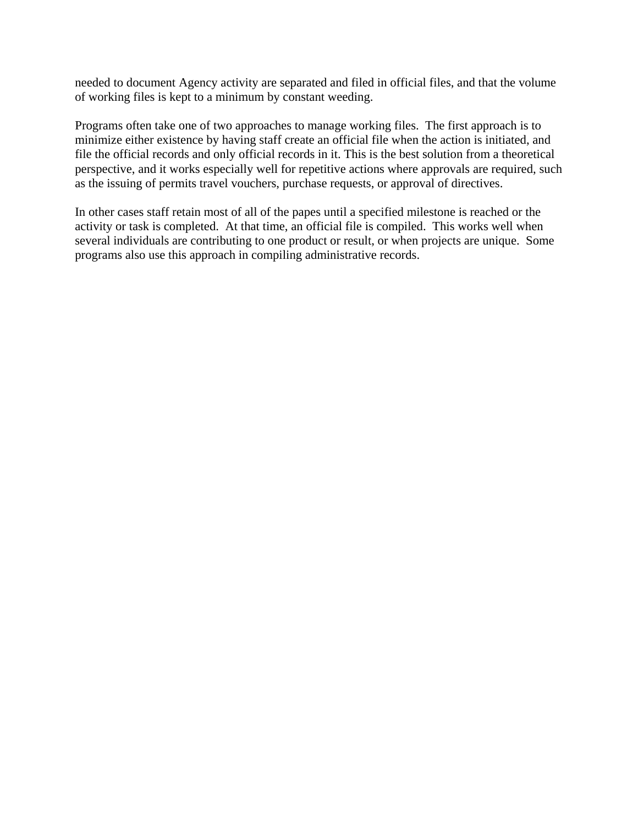needed to document Agency activity are separated and filed in official files, and that the volume of working files is kept to a minimum by constant weeding.

Programs often take one of two approaches to manage working files. The first approach is to minimize either existence by having staff create an official file when the action is initiated, and file the official records and only official records in it. This is the best solution from a theoretical perspective, and it works especially well for repetitive actions where approvals are required, such as the issuing of permits travel vouchers, purchase requests, or approval of directives.

In other cases staff retain most of all of the papes until a specified milestone is reached or the activity or task is completed. At that time, an official file is compiled. This works well when several individuals are contributing to one product or result, or when projects are unique. Some programs also use this approach in compiling administrative records.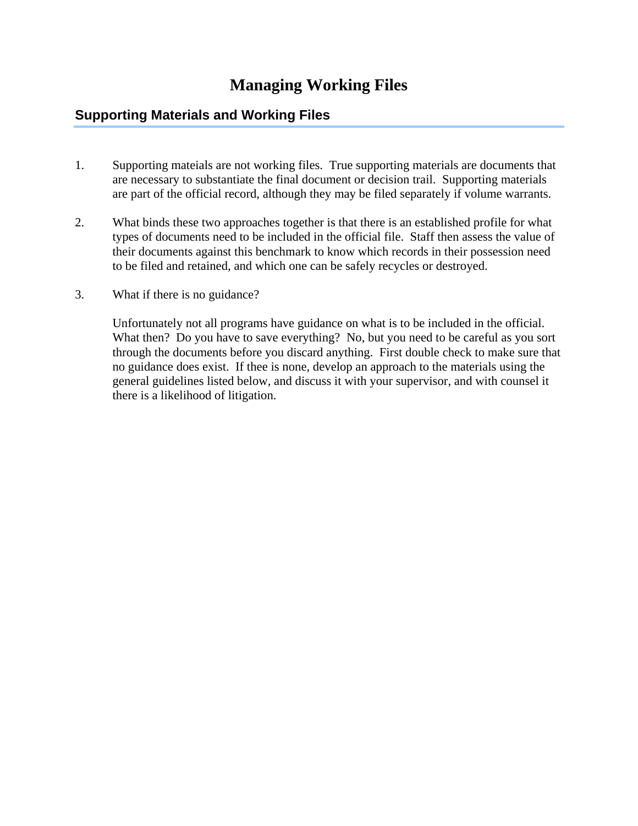## **Managing Working Files**

#### <span id="page-4-0"></span>**Supporting Materials and Working Files**

- 1. Supporting mateials are not working files. True supporting materials are documents that are necessary to substantiate the final document or decision trail. Supporting materials are part of the official record, although they may be filed separately if volume warrants.
- 2. What binds these two approaches together is that there is an established profile for what types of documents need to be included in the official file. Staff then assess the value of their documents against this benchmark to know which records in their possession need to be filed and retained, and which one can be safely recycles or destroyed.
- 3. What if there is no guidance?

Unfortunately not all programs have guidance on what is to be included in the official. What then? Do you have to save everything? No, but you need to be careful as you sort through the documents before you discard anything. First double check to make sure that no guidance does exist. If thee is none, develop an approach to the materials using the general guidelines listed below, and discuss it with your supervisor, and with counsel it there is a likelihood of litigation.